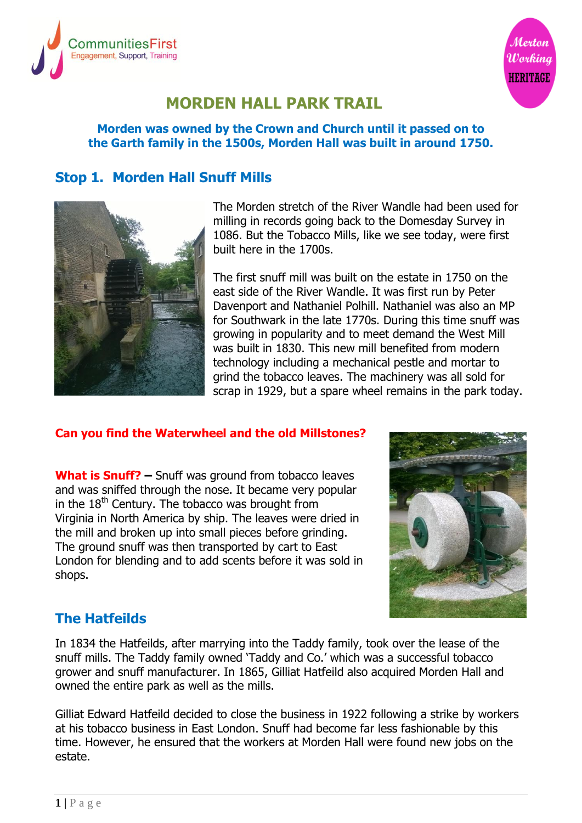



# **MORDEN HALL PARK TRAIL**

#### **Morden was owned by the Crown and Church until it passed on to the Garth family in the 1500s, Morden Hall was built in around 1750.**

#### **Stop 1. Morden Hall Snuff Mills**



The Morden stretch of the River Wandle had been used for milling in records going back to the Domesday Survey in 1086. But the Tobacco Mills, like we see today, were first built here in the 1700s.

The first snuff mill was built on the estate in 1750 on the east side of the River Wandle. It was first run by Peter Davenport and Nathaniel Polhill. Nathaniel was also an MP for Southwark in the late 1770s. During this time snuff was growing in popularity and to meet demand the West Mill was built in 1830. This new mill benefited from modern technology including a mechanical pestle and mortar to grind the tobacco leaves. The machinery was all sold for scrap in 1929, but a spare wheel remains in the park today.

#### **Can you find the Waterwheel and the old Millstones?**

**What is Snuff? –** Snuff was ground from tobacco leaves and was sniffed through the nose. It became very popular in the  $18<sup>th</sup>$  Century. The tobacco was brought from Virginia in North America by ship. The leaves were dried in the mill and broken up into small pieces before grinding. The ground snuff was then transported by cart to East London for blending and to add scents before it was sold in shops.



## **The Hatfeilds**

In 1834 the Hatfeilds, after marrying into the Taddy family, took over the lease of the snuff mills. The Taddy family owned 'Taddy and Co.' which was a successful tobacco grower and snuff manufacturer. In 1865, Gilliat Hatfeild also acquired Morden Hall and owned the entire park as well as the mills.

Gilliat Edward Hatfeild decided to close the business in 1922 following a strike by workers at his tobacco business in East London. Snuff had become far less fashionable by this time. However, he ensured that the workers at Morden Hall were found new jobs on the estate.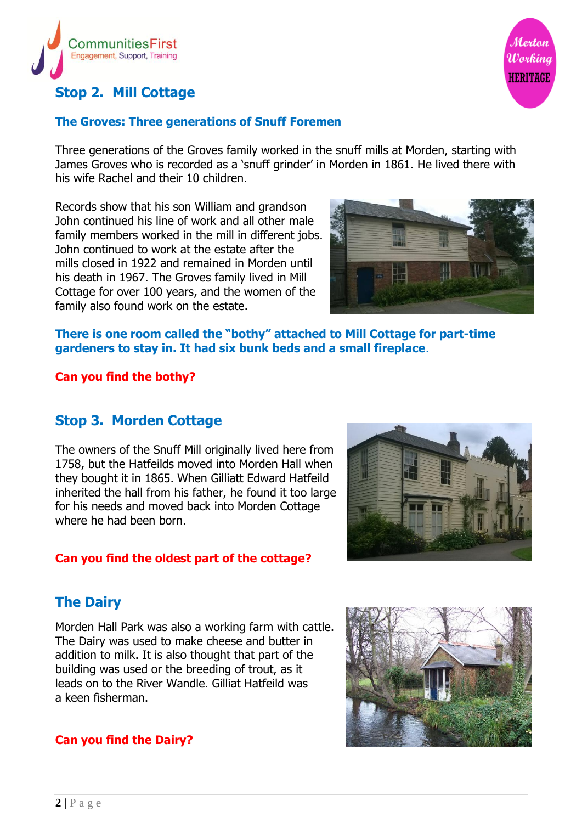

# **Stop 2. Mill Cottage**

#### **The Groves: Three generations of Snuff Foremen**

Three generations of the Groves family worked in the snuff mills at Morden, starting with James Groves who is recorded as a 'snuff grinder' in Morden in 1861. He lived there with his wife Rachel and their 10 children.

Records show that his son William and grandson John continued his line of work and all other male family members worked in the mill in different jobs. John continued to work at the estate after the mills closed in 1922 and remained in Morden until his death in 1967. The Groves family lived in Mill Cottage for over 100 years, and the women of the family also found work on the estate.



Merton

Working **HERITAGE** 

#### **There is one room called the "bothy" attached to Mill Cottage for part-time gardeners to stay in. It had six bunk beds and a small fireplace**.

#### **Can you find the bothy?**

#### **Stop 3. Morden Cottage**

The owners of the Snuff Mill originally lived here from 1758, but the Hatfeilds moved into Morden Hall when they bought it in 1865. When Gilliatt Edward Hatfeild inherited the hall from his father, he found it too large for his needs and moved back into Morden Cottage where he had been born.

#### **Can you find the oldest part of the cottage?**



# **The Dairy**

Morden Hall Park was also a working farm with cattle. The Dairy was used to make cheese and butter in addition to milk. It is also thought that part of the building was used or the breeding of trout, as it leads on to the River Wandle. Gilliat Hatfeild was a keen fisherman.

#### **Can you find the Dairy?**

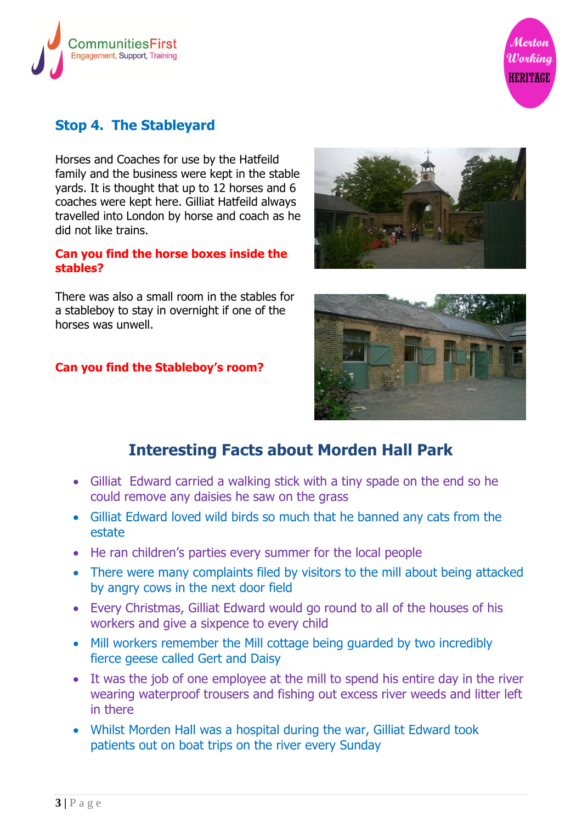



# **Stop 4. The Stableyard**

Horses and Coaches for use by the Hatfeild family and the business were kept in the stable yards. It is thought that up to 12 horses and 6 coaches were kept here. Gilliat Hatfeild always travelled into London by horse and coach as he did not like trains.

#### **Can you find the horse boxes inside the stables?**

There was also a small room in the stables for a stableboy to stay in overnight if one of the horses was unwell.

#### **Can you find the Stableboy's room?**





# **Interesting Facts about Morden Hall Park**

- Gilliat Edward carried a walking stick with a tiny spade on the end so he could remove any daisies he saw on the grass
- Gilliat Edward loved wild birds so much that he banned any cats from the estate
- He ran children's parties every summer for the local people
- There were many complaints filed by visitors to the mill about being attacked by angry cows in the next door field
- Every Christmas, Gilliat Edward would go round to all of the houses of his workers and give a sixpence to every child
- Mill workers remember the Mill cottage being guarded by two incredibly fierce geese called Gert and Daisy
- It was the job of one employee at the mill to spend his entire day in the river wearing waterproof trousers and fishing out excess river weeds and litter left in there
- Whilst Morden Hall was a hospital during the war, Gilliat Edward took patients out on boat trips on the river every Sunday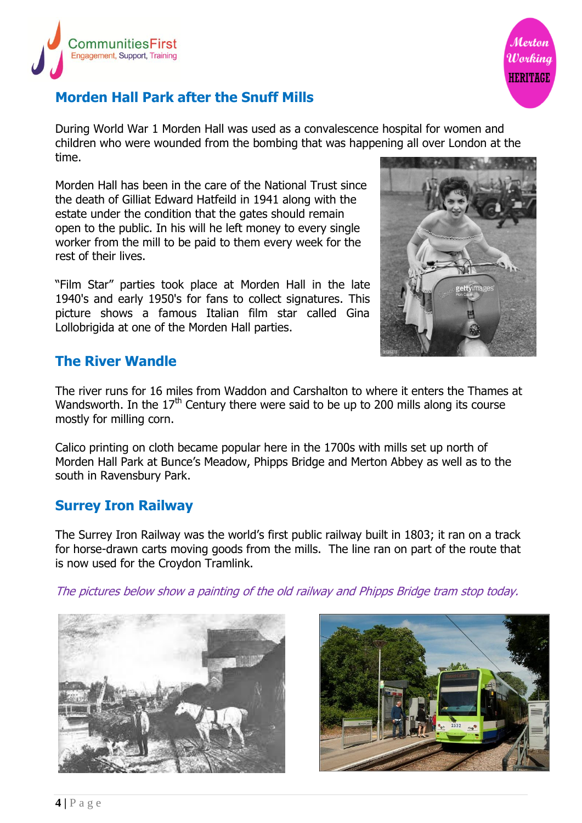



# **Morden Hall Park after the Snuff Mills**

During World War 1 Morden Hall was used as a convalescence hospital for women and children who were wounded from the bombing that was happening all over London at the time.

Morden Hall has been in the care of the National Trust since the death of Gilliat Edward Hatfeild in 1941 along with the estate under the condition that the gates should remain open to the public. In his will he left money to every single worker from the mill to be paid to them every week for the rest of their lives.

"Film Star" parties took place at Morden Hall in the late 1940's and early 1950's for fans to collect signatures. This picture shows a famous Italian film star called Gina Lollobrigida at one of the Morden Hall parties.



### **The River Wandle**

The river runs for 16 miles from Waddon and Carshalton to where it enters the Thames at Wandsworth. In the  $17<sup>th</sup>$  Century there were said to be up to 200 mills along its course mostly for milling corn.

Calico printing on cloth became popular here in the 1700s with mills set up north of Morden Hall Park at Bunce's Meadow, Phipps Bridge and Merton Abbey as well as to the south in Ravensbury Park.

#### **Surrey Iron Railway**

The Surrey Iron Railway was the world's first public railway built in 1803; it ran on a track for horse-drawn carts moving goods from the mills. The line ran on part of the route that is now used for the Croydon Tramlink.

The pictures below show a painting of the old railway and Phipps Bridge tram stop today.